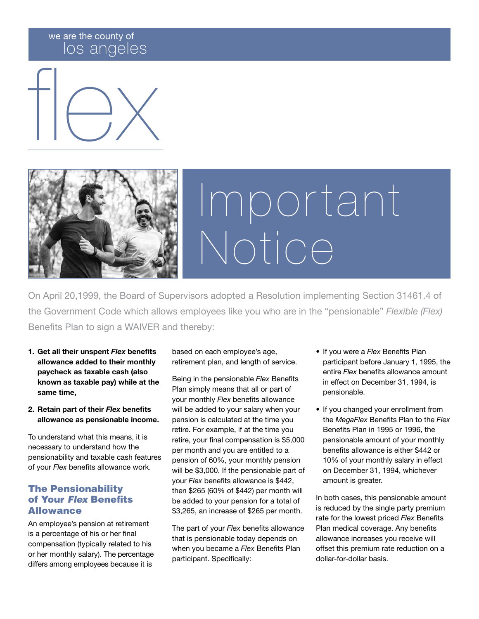### we are the county of los angeles





# Important Notice

On April 20,1999, the Board of Supervisors adopted a Resolution implementing Section 31461.4 of the Government Code which allows employees like you who are in the "pensionable" *Flexible (Flex)* Benefits Plan to sign a WAIVER and thereby:

- 1. Get all their unspent *Flex* benefits allowance added to their monthly paycheck as taxable cash (also known as taxable pay) while at the same time,
- 2. Retain part of their *Flex* benefits allowance as pensionable income.

To understand what this means, it is necessary to understand how the pensionability and taxable cash features of your *Flex* benefits allowance work.

### The Pensionability of Your *Flex* Benefits Allowance

An employee's pension at retirement is a percentage of his or her final compensation (typically related to his or her monthly salary). The percentage differs among employees because it is

based on each employee's age, retirement plan, and length of service.

Being in the pensionable *Flex* Benefits Plan simply means that all or part of your monthly *Flex* benefits allowance will be added to your salary when your pension is calculated at the time you retire. For example, if at the time you retire, your final compensation is \$5,000 per month and you are entitled to a pension of 60%, your monthly pension will be \$3,000. If the pensionable part of your *Flex* benefits allowance is \$442, then \$265 (60% of \$442) per month will be added to your pension for a total of \$3,265, an increase of \$265 per month.

The part of your *Flex* benefits allowance that is pensionable today depends on when you became a *Flex* Benefits Plan participant. Specifically:

- If you were a *Flex* Benefits Plan participant before January 1, 1995, the entire *Flex* benefits allowance amount in effect on December 31, 1994, is pensionable.
- If you changed your enrollment from the *MegaFlex* Benefits Plan to the *Flex*  Benefits Plan in 1995 or 1996, the pensionable amount of your monthly benefits allowance is either \$442 or 10% of your monthly salary in effect on December 31, 1994, whichever amount is greater.

In both cases, this pensionable amount is reduced by the single party premium rate for the lowest priced *Flex* Benefits Plan medical coverage. Any benefits allowance increases you receive will offset this premium rate reduction on a dollar-for-dollar basis.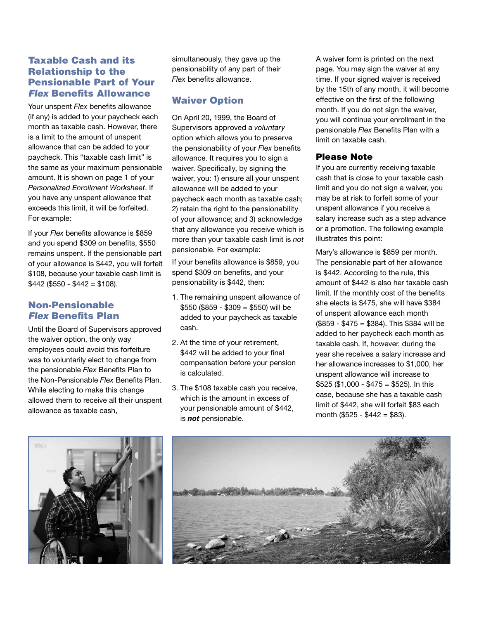### Taxable Cash and its Relationship to the Pensionable Part of Your *Flex* Benefits Allowance

Your unspent *Flex* benefits allowance (if any) is added to your paycheck each month as taxable cash. However, there is a limit to the amount of unspent allowance that can be added to your paycheck. This "taxable cash limit" is the same as your maximum pensionable amount. It is shown on page 1 of your *Personalized Enrollment Worksheet*. If you have any unspent allowance that exceeds this limit, it will be forfeited. For example:

If your *Flex* benefits allowance is \$859 and you spend \$309 on benefits, \$550 remains unspent. If the pensionable part of your allowance is \$442, you will forfeit \$108, because your taxable cash limit is  $$442$  (\$550 - \$442 = \$108).

### Non-Pensionable *Flex* Benefits Plan

Until the Board of Supervisors approved the waiver option, the only way employees could avoid this forfeiture was to voluntarily elect to change from the pensionable *Flex* Benefits Plan to the Non-Pensionable *Flex* Benefits Plan. While electing to make this change allowed them to receive all their unspent allowance as taxable cash,

simultaneously, they gave up the pensionability of any part of their *Flex* benefits allowance.

### Waiver Option

On April 20, 1999, the Board of Supervisors approved a *voluntary* option which allows you to preserve the pensionability of your *Flex* benefits allowance. It requires you to sign a waiver. Specifically, by signing the waiver, you: 1) ensure all your unspent allowance will be added to your paycheck each month as taxable cash; 2) retain the right to the pensionability of your allowance; and 3) acknowledge that any allowance you receive which is more than your taxable cash limit is *not* pensionable. For example:

If your benefits allowance is \$859, you spend \$309 on benefits, and your pensionability is \$442, then:

- 1. The remaining unspent allowance of  $$550$  (\$859 - \$309 = \$550) will be added to your paycheck as taxable cash.
- 2. At the time of your retirement, \$442 will be added to your final compensation before your pension is calculated.
- 3. The \$108 taxable cash you receive, which is the amount in excess of your pensionable amount of \$442, is *not* pensionable.

A waiver form is printed on the next page. You may sign the waiver at any time. If your signed waiver is received by the 15th of any month, it will become effective on the first of the following month. If you do not sign the waiver, you will continue your enrollment in the pensionable *Flex* Benefits Plan with a limit on taxable cash.

#### Please Note

If you are currently receiving taxable cash that is close to your taxable cash limit and you do not sign a waiver, you may be at risk to forfeit some of your unspent allowance if you receive a salary increase such as a step advance or a promotion. The following example illustrates this point:

Mary's allowance is \$859 per month. The pensionable part of her allowance is \$442. According to the rule, this amount of \$442 is also her taxable cash limit. If the monthly cost of the benefits she elects is \$475, she will have \$384 of unspent allowance each month (\$859 - \$475 = \$384). This \$384 will be added to her paycheck each month as taxable cash. If, however, during the year she receives a salary increase and her allowance increases to \$1,000, her unspent allowance will increase to  $$525 ($1,000 - $475 = $525)$ . In this case, because she has a taxable cash limit of \$442, she will forfeit \$83 each month (\$525 - \$442 = \$83).



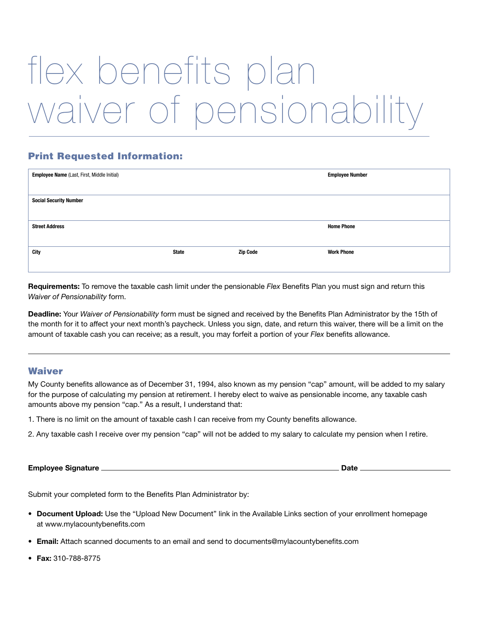## flex benefits plan waiver of pensionability

### Print Requested Information:

| Employee Name (Last, First, Middle Initial) |              |                 | <b>Employee Number</b> |
|---------------------------------------------|--------------|-----------------|------------------------|
|                                             |              |                 |                        |
| <b>Social Security Number</b>               |              |                 |                        |
|                                             |              |                 |                        |
| <b>Street Address</b>                       |              |                 | <b>Home Phone</b>      |
|                                             |              |                 |                        |
| <b>City</b>                                 | <b>State</b> | <b>Zip Code</b> | <b>Work Phone</b>      |
|                                             |              |                 |                        |

Requirements: To remove the taxable cash limit under the pensionable *Flex* Benefits Plan you must sign and return this *Waiver of Pensionability* form.

Deadline: Your *Waiver of Pensionability* form must be signed and received by the Benefits Plan Administrator by the 15th of the month for it to affect your next month's paycheck. Unless you sign, date, and return this waiver, there will be a limit on the amount of taxable cash you can receive; as a result, you may forfeit a portion of your *Flex* benefits allowance.

#### **Waiver**

My County benefits allowance as of December 31, 1994, also known as my pension "cap" amount, will be added to my salary for the purpose of calculating my pension at retirement. I hereby elect to waive as pensionable income, any taxable cash amounts above my pension "cap." As a result, I understand that:

- 1. There is no limit on the amount of taxable cash I can receive from my County benefits allowance.
- 2. Any taxable cash I receive over my pension "cap" will not be added to my salary to calculate my pension when I retire.

Employee Signature Date

Submit your completed form to the Benefits Plan Administrator by:

- Document Upload: Use the "Upload New Document" link in the Available Links section of your enrollment homepage at www.mylacountybenefits.com
- **Email:** Attach scanned documents to an email and send to documents@mylacountybenefits.com
- Fax: 310-788-8775